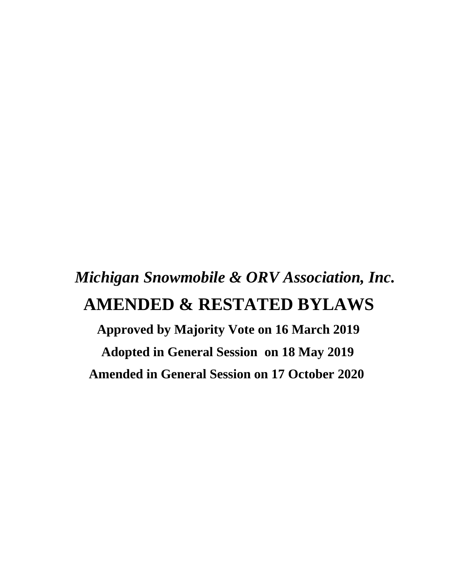# *Michigan Snowmobile & ORV Association, Inc.*  **AMENDED & RESTATED BYLAWS**

 **Approved by Majority Vote on 16 March 2019 Adopted in General Session on 18 May 2019 Amended in General Session on 17 October 2020**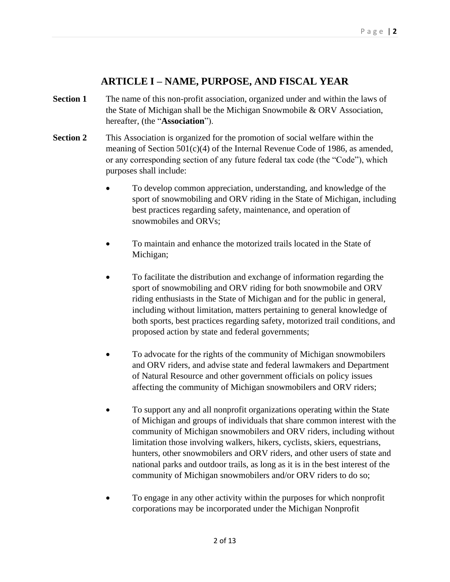## **ARTICLE I – NAME, PURPOSE, AND FISCAL YEAR**

- **Section 1** The name of this non-profit association, organized under and within the laws of the State of Michigan shall be the Michigan Snowmobile & ORV Association, hereafter, (the "**Association**").
- **Section 2** This Association is organized for the promotion of social welfare within the meaning of Section 501(c)(4) of the Internal Revenue Code of 1986, as amended, or any corresponding section of any future federal tax code (the "Code"), which purposes shall include:
	- To develop common appreciation, understanding, and knowledge of the sport of snowmobiling and ORV riding in the State of Michigan, including best practices regarding safety, maintenance, and operation of snowmobiles and ORVs;
	- To maintain and enhance the motorized trails located in the State of Michigan;
	- To facilitate the distribution and exchange of information regarding the sport of snowmobiling and ORV riding for both snowmobile and ORV riding enthusiasts in the State of Michigan and for the public in general, including without limitation, matters pertaining to general knowledge of both sports, best practices regarding safety, motorized trail conditions, and proposed action by state and federal governments;
	- To advocate for the rights of the community of Michigan snowmobilers and ORV riders, and advise state and federal lawmakers and Department of Natural Resource and other government officials on policy issues affecting the community of Michigan snowmobilers and ORV riders;
	- To support any and all nonprofit organizations operating within the State of Michigan and groups of individuals that share common interest with the community of Michigan snowmobilers and ORV riders, including without limitation those involving walkers, hikers, cyclists, skiers, equestrians, hunters, other snowmobilers and ORV riders, and other users of state and national parks and outdoor trails, as long as it is in the best interest of the community of Michigan snowmobilers and/or ORV riders to do so;
	- To engage in any other activity within the purposes for which nonprofit corporations may be incorporated under the Michigan Nonprofit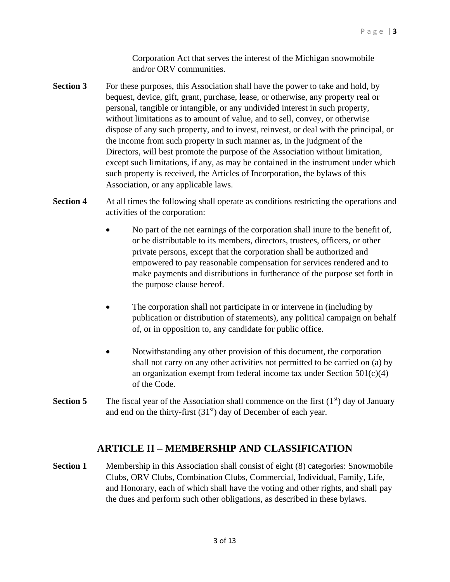Corporation Act that serves the interest of the Michigan snowmobile and/or ORV communities.

- **Section 3** For these purposes, this Association shall have the power to take and hold, by bequest, device, gift, grant, purchase, lease, or otherwise, any property real or personal, tangible or intangible, or any undivided interest in such property, without limitations as to amount of value, and to sell, convey, or otherwise dispose of any such property, and to invest, reinvest, or deal with the principal, or the income from such property in such manner as, in the judgment of the Directors, will best promote the purpose of the Association without limitation, except such limitations, if any, as may be contained in the instrument under which such property is received, the Articles of Incorporation, the bylaws of this Association, or any applicable laws.
- **Section 4** At all times the following shall operate as conditions restricting the operations and activities of the corporation:
	- No part of the net earnings of the corporation shall inure to the benefit of, or be distributable to its members, directors, trustees, officers, or other private persons, except that the corporation shall be authorized and empowered to pay reasonable compensation for services rendered and to make payments and distributions in furtherance of the purpose set forth in the purpose clause hereof.
	- The corporation shall not participate in or intervene in (including by publication or distribution of statements), any political campaign on behalf of, or in opposition to, any candidate for public office.
	- Notwithstanding any other provision of this document, the corporation shall not carry on any other activities not permitted to be carried on (a) by an organization exempt from federal income tax under Section 501(c)(4) of the Code.
- **Section 5** The fiscal year of the Association shall commence on the first  $(1<sup>st</sup>)$  day of January and end on the thirty-first  $(31<sup>st</sup>)$  day of December of each year.

## **ARTICLE II – MEMBERSHIP AND CLASSIFICATION**

**Section 1** Membership in this Association shall consist of eight (8) categories: Snowmobile Clubs, ORV Clubs, Combination Clubs, Commercial, Individual, Family, Life, and Honorary, each of which shall have the voting and other rights, and shall pay the dues and perform such other obligations, as described in these bylaws.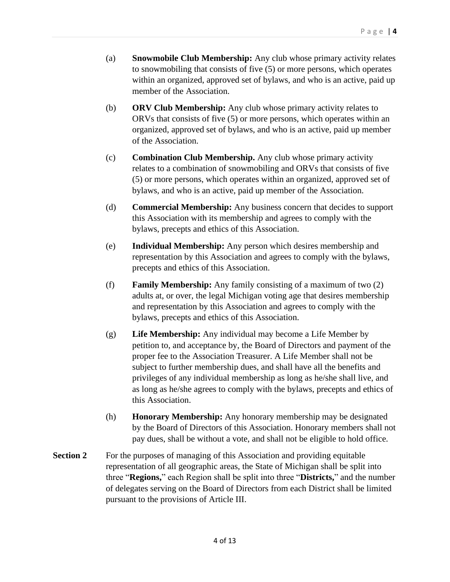- (a) **Snowmobile Club Membership:** Any club whose primary activity relates to snowmobiling that consists of five (5) or more persons, which operates within an organized, approved set of bylaws, and who is an active, paid up member of the Association.
- (b) **ORV Club Membership:** Any club whose primary activity relates to ORVs that consists of five (5) or more persons, which operates within an organized, approved set of bylaws, and who is an active, paid up member of the Association.
- (c) **Combination Club Membership.** Any club whose primary activity relates to a combination of snowmobiling and ORVs that consists of five (5) or more persons, which operates within an organized, approved set of bylaws, and who is an active, paid up member of the Association.
- (d) **Commercial Membership:** Any business concern that decides to support this Association with its membership and agrees to comply with the bylaws, precepts and ethics of this Association.
- (e) **Individual Membership:** Any person which desires membership and representation by this Association and agrees to comply with the bylaws, precepts and ethics of this Association.
- (f) **Family Membership:** Any family consisting of a maximum of two (2) adults at, or over, the legal Michigan voting age that desires membership and representation by this Association and agrees to comply with the bylaws, precepts and ethics of this Association.
- (g) **Life Membership:** Any individual may become a Life Member by petition to, and acceptance by, the Board of Directors and payment of the proper fee to the Association Treasurer. A Life Member shall not be subject to further membership dues, and shall have all the benefits and privileges of any individual membership as long as he/she shall live, and as long as he/she agrees to comply with the bylaws, precepts and ethics of this Association.
- (h) **Honorary Membership:** Any honorary membership may be designated by the Board of Directors of this Association. Honorary members shall not pay dues, shall be without a vote, and shall not be eligible to hold office.
- **Section 2** For the purposes of managing of this Association and providing equitable representation of all geographic areas, the State of Michigan shall be split into three "**Regions,**" each Region shall be split into three "**Districts,**" and the number of delegates serving on the Board of Directors from each District shall be limited pursuant to the provisions of Article III.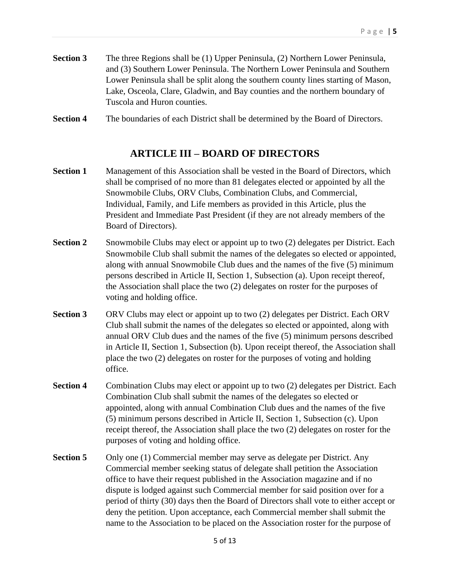**Section 3** The three Regions shall be (1) Upper Peninsula, (2) Northern Lower Peninsula, and (3) Southern Lower Peninsula. The Northern Lower Peninsula and Southern Lower Peninsula shall be split along the southern county lines starting of Mason, Lake, Osceola, Clare, Gladwin, and Bay counties and the northern boundary of Tuscola and Huron counties.

**Section 4** The boundaries of each District shall be determined by the Board of Directors.

## **ARTICLE III – BOARD OF DIRECTORS**

- **Section 1** Management of this Association shall be vested in the Board of Directors, which shall be comprised of no more than 81 delegates elected or appointed by all the Snowmobile Clubs, ORV Clubs, Combination Clubs, and Commercial, Individual, Family, and Life members as provided in this Article, plus the President and Immediate Past President (if they are not already members of the Board of Directors).
- **Section 2** Snowmobile Clubs may elect or appoint up to two (2) delegates per District. Each Snowmobile Club shall submit the names of the delegates so elected or appointed, along with annual Snowmobile Club dues and the names of the five (5) minimum persons described in Article II, Section 1, Subsection (a). Upon receipt thereof, the Association shall place the two (2) delegates on roster for the purposes of voting and holding office.
- **Section 3** ORV Clubs may elect or appoint up to two (2) delegates per District. Each ORV Club shall submit the names of the delegates so elected or appointed, along with annual ORV Club dues and the names of the five (5) minimum persons described in Article II, Section 1, Subsection (b). Upon receipt thereof, the Association shall place the two (2) delegates on roster for the purposes of voting and holding office.
- **Section 4** Combination Clubs may elect or appoint up to two (2) delegates per District. Each Combination Club shall submit the names of the delegates so elected or appointed, along with annual Combination Club dues and the names of the five (5) minimum persons described in Article II, Section 1, Subsection (c). Upon receipt thereof, the Association shall place the two (2) delegates on roster for the purposes of voting and holding office.
- **Section 5** Only one (1) Commercial member may serve as delegate per District. Any Commercial member seeking status of delegate shall petition the Association office to have their request published in the Association magazine and if no dispute is lodged against such Commercial member for said position over for a period of thirty (30) days then the Board of Directors shall vote to either accept or deny the petition. Upon acceptance, each Commercial member shall submit the name to the Association to be placed on the Association roster for the purpose of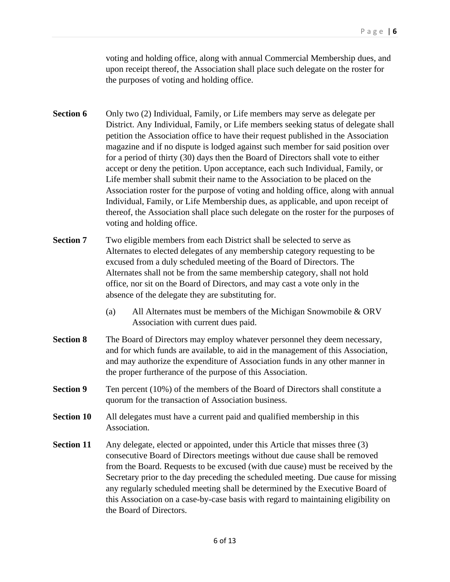voting and holding office, along with annual Commercial Membership dues, and upon receipt thereof, the Association shall place such delegate on the roster for the purposes of voting and holding office.

- **Section 6** Only two (2) Individual, Family, or Life members may serve as delegate per District. Any Individual, Family, or Life members seeking status of delegate shall petition the Association office to have their request published in the Association magazine and if no dispute is lodged against such member for said position over for a period of thirty (30) days then the Board of Directors shall vote to either accept or deny the petition. Upon acceptance, each such Individual, Family, or Life member shall submit their name to the Association to be placed on the Association roster for the purpose of voting and holding office, along with annual Individual, Family, or Life Membership dues, as applicable, and upon receipt of thereof, the Association shall place such delegate on the roster for the purposes of voting and holding office.
- **Section 7** Two eligible members from each District shall be selected to serve as Alternates to elected delegates of any membership category requesting to be excused from a duly scheduled meeting of the Board of Directors. The Alternates shall not be from the same membership category, shall not hold office, nor sit on the Board of Directors, and may cast a vote only in the absence of the delegate they are substituting for.
	- (a) All Alternates must be members of the Michigan Snowmobile & ORV Association with current dues paid.
- **Section 8** The Board of Directors may employ whatever personnel they deem necessary, and for which funds are available, to aid in the management of this Association, and may authorize the expenditure of Association funds in any other manner in the proper furtherance of the purpose of this Association.
- **Section 9** Ten percent (10%) of the members of the Board of Directors shall constitute a quorum for the transaction of Association business.
- **Section 10** All delegates must have a current paid and qualified membership in this Association.
- **Section 11** Any delegate, elected or appointed, under this Article that misses three (3) consecutive Board of Directors meetings without due cause shall be removed from the Board. Requests to be excused (with due cause) must be received by the Secretary prior to the day preceding the scheduled meeting. Due cause for missing any regularly scheduled meeting shall be determined by the Executive Board of this Association on a case-by-case basis with regard to maintaining eligibility on the Board of Directors.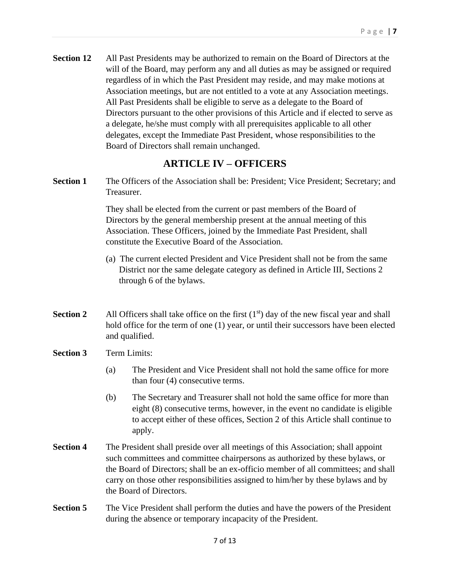**Section 12** All Past Presidents may be authorized to remain on the Board of Directors at the will of the Board, may perform any and all duties as may be assigned or required regardless of in which the Past President may reside, and may make motions at Association meetings, but are not entitled to a vote at any Association meetings. All Past Presidents shall be eligible to serve as a delegate to the Board of Directors pursuant to the other provisions of this Article and if elected to serve as a delegate, he/she must comply with all prerequisites applicable to all other delegates, except the Immediate Past President, whose responsibilities to the Board of Directors shall remain unchanged.

## **ARTICLE IV – OFFICERS**

**Section 1** The Officers of the Association shall be: President; Vice President; Secretary; and Treasurer.

> They shall be elected from the current or past members of the Board of Directors by the general membership present at the annual meeting of this Association. These Officers, joined by the Immediate Past President, shall constitute the Executive Board of the Association.

- (a) The current elected President and Vice President shall not be from the same District nor the same delegate category as defined in Article III, Sections 2 through 6 of the bylaws.
- **Section 2** All Officers shall take office on the first  $(1<sup>st</sup>)$  day of the new fiscal year and shall hold office for the term of one (1) year, or until their successors have been elected and qualified.
- **Section 3** Term Limits:
	- (a) The President and Vice President shall not hold the same office for more than four (4) consecutive terms.
	- (b) The Secretary and Treasurer shall not hold the same office for more than eight (8) consecutive terms, however, in the event no candidate is eligible to accept either of these offices, Section 2 of this Article shall continue to apply.
- **Section 4** The President shall preside over all meetings of this Association; shall appoint such committees and committee chairpersons as authorized by these bylaws, or the Board of Directors; shall be an ex-officio member of all committees; and shall carry on those other responsibilities assigned to him/her by these bylaws and by the Board of Directors.
- **Section 5** The Vice President shall perform the duties and have the powers of the President during the absence or temporary incapacity of the President.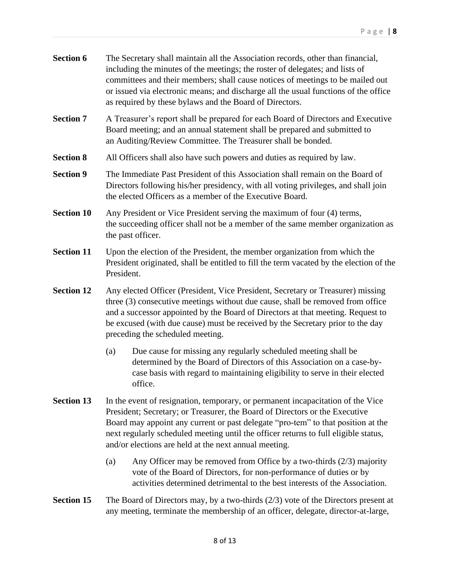| <b>Section 6</b> | The Secretary shall maintain all the Association records, other than financial,     |
|------------------|-------------------------------------------------------------------------------------|
|                  | including the minutes of the meetings; the roster of delegates; and lists of        |
|                  | committees and their members; shall cause notices of meetings to be mailed out      |
|                  | or issued via electronic means; and discharge all the usual functions of the office |
|                  | as required by these by laws and the Board of Directors.                            |

- **Section 7** A Treasurer's report shall be prepared for each Board of Directors and Executive Board meeting; and an annual statement shall be prepared and submitted to an Auditing/Review Committee. The Treasurer shall be bonded.
- **Section 8** All Officers shall also have such powers and duties as required by law.
- **Section 9** The Immediate Past President of this Association shall remain on the Board of Directors following his/her presidency, with all voting privileges, and shall join the elected Officers as a member of the Executive Board.
- **Section 10** Any President or Vice President serving the maximum of four (4) terms, the succeeding officer shall not be a member of the same member organization as the past officer.
- **Section 11** Upon the election of the President, the member organization from which the President originated, shall be entitled to fill the term vacated by the election of the President.
- **Section 12** Any elected Officer (President, Vice President, Secretary or Treasurer) missing three (3) consecutive meetings without due cause, shall be removed from office and a successor appointed by the Board of Directors at that meeting. Request to be excused (with due cause) must be received by the Secretary prior to the day preceding the scheduled meeting.
	- (a) Due cause for missing any regularly scheduled meeting shall be determined by the Board of Directors of this Association on a case-bycase basis with regard to maintaining eligibility to serve in their elected office.
- **Section 13** In the event of resignation, temporary, or permanent incapacitation of the Vice President; Secretary; or Treasurer, the Board of Directors or the Executive Board may appoint any current or past delegate "pro-tem" to that position at the next regularly scheduled meeting until the officer returns to full eligible status, and/or elections are held at the next annual meeting.
	- (a) Any Officer may be removed from Office by a two-thirds (2/3) majority vote of the Board of Directors, for non-performance of duties or by activities determined detrimental to the best interests of the Association.
- **Section 15** The Board of Directors may, by a two-thirds (2/3) vote of the Directors present at any meeting, terminate the membership of an officer, delegate, director-at-large,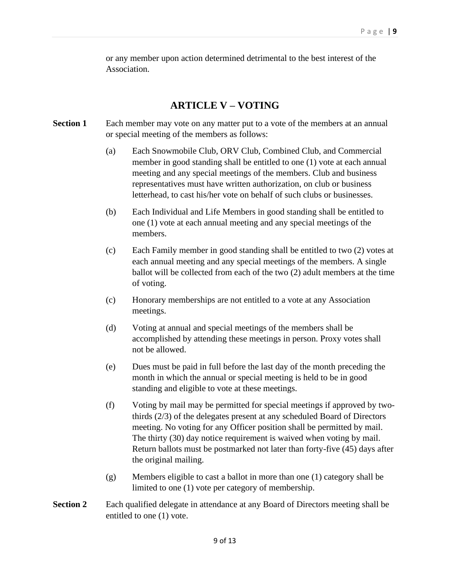or any member upon action determined detrimental to the best interest of the Association.

### **ARTICLE V – VOTING**

- **Section 1** Each member may vote on any matter put to a vote of the members at an annual or special meeting of the members as follows:
	- (a) Each Snowmobile Club, ORV Club, Combined Club, and Commercial member in good standing shall be entitled to one (1) vote at each annual meeting and any special meetings of the members. Club and business representatives must have written authorization, on club or business letterhead, to cast his/her vote on behalf of such clubs or businesses.
	- (b) Each Individual and Life Members in good standing shall be entitled to one (1) vote at each annual meeting and any special meetings of the members.
	- (c) Each Family member in good standing shall be entitled to two (2) votes at each annual meeting and any special meetings of the members. A single ballot will be collected from each of the two (2) adult members at the time of voting.
	- (c) Honorary memberships are not entitled to a vote at any Association meetings.
	- (d) Voting at annual and special meetings of the members shall be accomplished by attending these meetings in person. Proxy votes shall not be allowed.
	- (e) Dues must be paid in full before the last day of the month preceding the month in which the annual or special meeting is held to be in good standing and eligible to vote at these meetings.
	- (f) Voting by mail may be permitted for special meetings if approved by twothirds (2/3) of the delegates present at any scheduled Board of Directors meeting. No voting for any Officer position shall be permitted by mail. The thirty (30) day notice requirement is waived when voting by mail. Return ballots must be postmarked not later than forty-five (45) days after the original mailing.
	- (g) Members eligible to cast a ballot in more than one (1) category shall be limited to one (1) vote per category of membership.
- **Section 2** Each qualified delegate in attendance at any Board of Directors meeting shall be entitled to one (1) vote.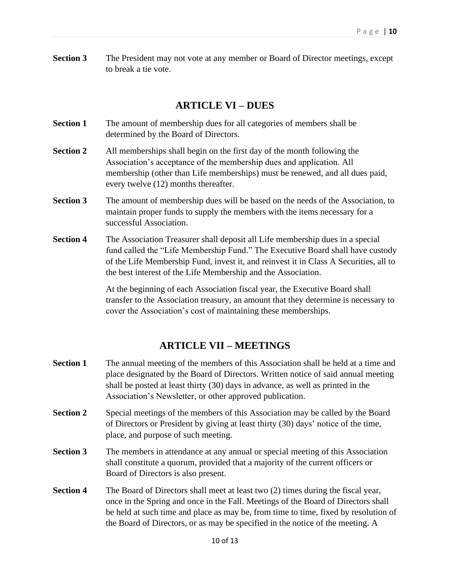**Section 3** The President may not vote at any member or Board of Director meetings, except to break a tie vote.

#### **ARTICLE VI – DUES**

- **Section 1** The amount of membership dues for all categories of members shall be determined by the Board of Directors.
- **Section 2** All memberships shall begin on the first day of the month following the Association's acceptance of the membership dues and application. All membership (other than Life memberships) must be renewed, and all dues paid, every twelve (12) months thereafter.
- **Section 3** The amount of membership dues will be based on the needs of the Association, to maintain proper funds to supply the members with the items necessary for a successful Association.
- **Section 4** The Association Treasurer shall deposit all Life membership dues in a special fund called the "Life Membership Fund." The Executive Board shall have custody of the Life Membership Fund, invest it, and reinvest it in Class A Securities, all to the best interest of the Life Membership and the Association.

At the beginning of each Association fiscal year, the Executive Board shall transfer to the Association treasury, an amount that they determine is necessary to cover the Association's cost of maintaining these memberships.

#### **ARTICLE VII – MEETINGS**

- **Section 1** The annual meeting of the members of this Association shall be held at a time and place designated by the Board of Directors. Written notice of said annual meeting shall be posted at least thirty (30) days in advance, as well as printed in the Association's Newsletter, or other approved publication.
- **Section 2** Special meetings of the members of this Association may be called by the Board of Directors or President by giving at least thirty (30) days' notice of the time, place, and purpose of such meeting.
- **Section 3** The members in attendance at any annual or special meeting of this Association shall constitute a quorum, provided that a majority of the current officers or Board of Directors is also present.
- **Section 4** The Board of Directors shall meet at least two (2) times during the fiscal year, once in the Spring and once in the Fall. Meetings of the Board of Directors shall be held at such time and place as may be, from time to time, fixed by resolution of the Board of Directors, or as may be specified in the notice of the meeting. A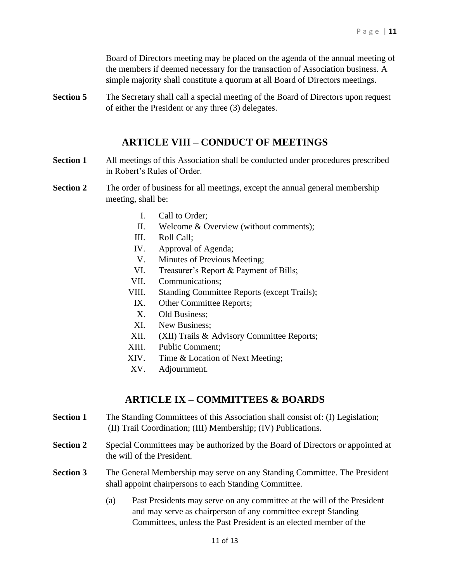Board of Directors meeting may be placed on the agenda of the annual meeting of the members if deemed necessary for the transaction of Association business. A simple majority shall constitute a quorum at all Board of Directors meetings.

**Section 5** The Secretary shall call a special meeting of the Board of Directors upon request of either the President or any three (3) delegates.

## **ARTICLE VIII – CONDUCT OF MEETINGS**

- **Section 1** All meetings of this Association shall be conducted under procedures prescribed in Robert's Rules of Order.
- **Section 2** The order of business for all meetings, except the annual general membership meeting, shall be:
	- I. Call to Order;
	- II. Welcome & Overview (without comments);
	- III. Roll Call;
	- IV. Approval of Agenda;
	- V. Minutes of Previous Meeting;
	- VI. Treasurer's Report & Payment of Bills;
	- VII. Communications;
	- VIII. Standing Committee Reports (except Trails);
		- IX. Other Committee Reports;
		- X. Old Business;
		- XI. New Business;
	- XII. (XII) Trails & Advisory Committee Reports;
	- XIII. Public Comment;
	- XIV. Time & Location of Next Meeting;
	- XV. Adjournment.

## **ARTICLE IX – COMMITTEES & BOARDS**

- **Section 1** The Standing Committees of this Association shall consist of: (I) Legislation; (II) Trail Coordination; (III) Membership; (IV) Publications.
- **Section 2** Special Committees may be authorized by the Board of Directors or appointed at the will of the President.
- **Section 3** The General Membership may serve on any Standing Committee. The President shall appoint chairpersons to each Standing Committee.
	- (a) Past Presidents may serve on any committee at the will of the President and may serve as chairperson of any committee except Standing Committees, unless the Past President is an elected member of the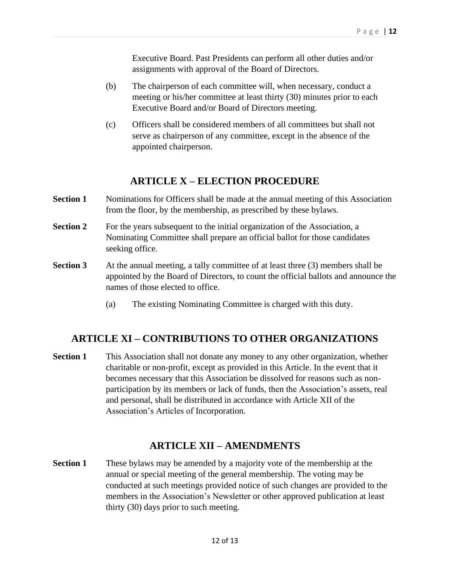Executive Board. Past Presidents can perform all other duties and/or assignments with approval of the Board of Directors.

- (b) The chairperson of each committee will, when necessary, conduct a meeting or his/her committee at least thirty (30) minutes prior to each Executive Board and/or Board of Directors meeting.
- (c) Officers shall be considered members of all committees but shall not serve as chairperson of any committee, except in the absence of the appointed chairperson.

## **ARTICLE X – ELECTION PROCEDURE**

- **Section 1** Nominations for Officers shall be made at the annual meeting of this Association from the floor, by the membership, as prescribed by these bylaws.
- **Section 2** For the years subsequent to the initial organization of the Association, a Nominating Committee shall prepare an official ballot for those candidates seeking office.
- **Section 3** At the annual meeting, a tally committee of at least three (3) members shall be appointed by the Board of Directors, to count the official ballots and announce the names of those elected to office.
	- (a) The existing Nominating Committee is charged with this duty.

## **ARTICLE XI – CONTRIBUTIONS TO OTHER ORGANIZATIONS**

**Section 1** This Association shall not donate any money to any other organization, whether charitable or non-profit, except as provided in this Article. In the event that it becomes necessary that this Association be dissolved for reasons such as nonparticipation by its members or lack of funds, then the Association's assets, real and personal, shall be distributed in accordance with Article XII of the Association's Articles of Incorporation.

## **ARTICLE XII – AMENDMENTS**

**Section 1** These bylaws may be amended by a majority vote of the membership at the annual or special meeting of the general membership. The voting may be conducted at such meetings provided notice of such changes are provided to the members in the Association's Newsletter or other approved publication at least thirty (30) days prior to such meeting.